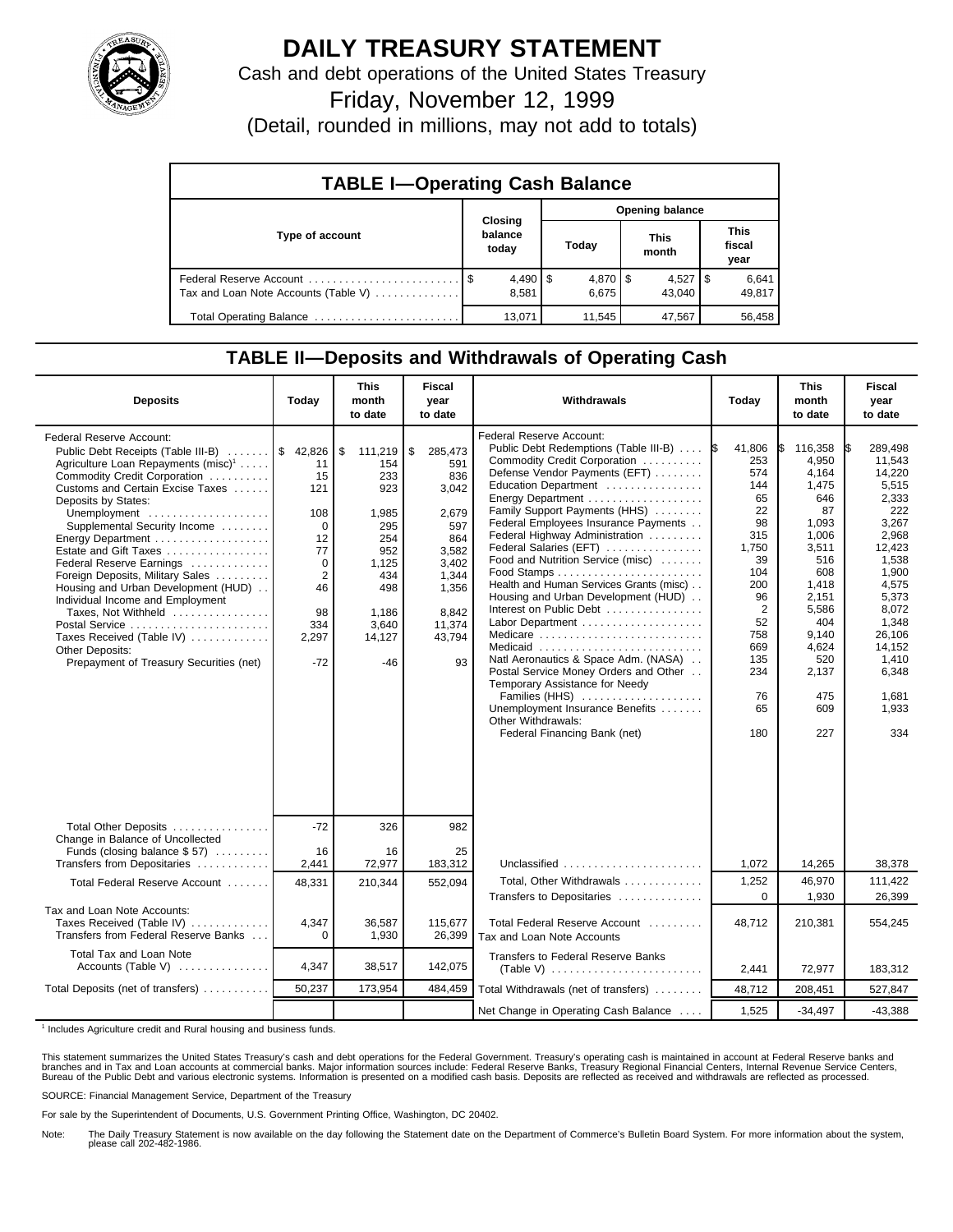

## **DAILY TREASURY STATEMENT**

Cash and debt operations of the United States Treasury

Friday, November 12, 1999

(Detail, rounded in millions, may not add to totals)

| <b>TABLE I-Operating Cash Balance</b> |                             |                        |                      |                 |  |  |  |  |
|---------------------------------------|-----------------------------|------------------------|----------------------|-----------------|--|--|--|--|
|                                       |                             | <b>Opening balance</b> |                      |                 |  |  |  |  |
| Type of account                       | Closing<br>balance<br>today | Today                  | <b>This</b><br>month |                 |  |  |  |  |
| Tax and Loan Note Accounts (Table V)  | $4,490$   \$<br>8.581       | $4,870$ \$<br>6.675    | $4,527$ S<br>43.040  | 6,641<br>49,817 |  |  |  |  |
| Total Operating Balance               | 13,071                      | 11,545                 | 47,567               | 56,458          |  |  |  |  |

## **TABLE II—Deposits and Withdrawals of Operating Cash**

| <b>Deposits</b>                                                                                                                                                                                                                                                                                                                                                                                                                                                                                                                                                                           | Today                                                                                                                         | <b>This</b><br>month<br>to date                                                                                              | <b>Fiscal</b><br>year<br>to date                                                                                                   | Withdrawals                                                                                                                                                                                                                                                                                                                                                                                                                                                                                                                                                                                                                                                                                                                                             | Today                                                                                                                                                                 | <b>This</b><br>month<br>to date                                                                                                                                                          | <b>Fiscal</b><br>year<br>to date                                                                                                                                                                             |
|-------------------------------------------------------------------------------------------------------------------------------------------------------------------------------------------------------------------------------------------------------------------------------------------------------------------------------------------------------------------------------------------------------------------------------------------------------------------------------------------------------------------------------------------------------------------------------------------|-------------------------------------------------------------------------------------------------------------------------------|------------------------------------------------------------------------------------------------------------------------------|------------------------------------------------------------------------------------------------------------------------------------|---------------------------------------------------------------------------------------------------------------------------------------------------------------------------------------------------------------------------------------------------------------------------------------------------------------------------------------------------------------------------------------------------------------------------------------------------------------------------------------------------------------------------------------------------------------------------------------------------------------------------------------------------------------------------------------------------------------------------------------------------------|-----------------------------------------------------------------------------------------------------------------------------------------------------------------------|------------------------------------------------------------------------------------------------------------------------------------------------------------------------------------------|--------------------------------------------------------------------------------------------------------------------------------------------------------------------------------------------------------------|
| Federal Reserve Account:<br>Public Debt Receipts (Table III-B)<br>Agriculture Loan Repayments (misc) <sup>1</sup><br>Commodity Credit Corporation<br>Customs and Certain Excise Taxes<br>Deposits by States:<br>Unemployment<br>Supplemental Security Income<br>Energy Department<br>Estate and Gift Taxes<br>Federal Reserve Earnings<br>Foreign Deposits, Military Sales<br>Housing and Urban Development (HUD)<br>Individual Income and Employment<br>Taxes, Not Withheld<br>Postal Service<br>Taxes Received (Table IV)<br>Other Deposits:<br>Prepayment of Treasury Securities (net) | \$42,826<br>11<br>15<br>121<br>108<br>$\Omega$<br>12<br>77<br>$\Omega$<br>$\overline{2}$<br>46<br>98<br>334<br>2,297<br>$-72$ | \$<br>111,219<br>154<br>233<br>923<br>1,985<br>295<br>254<br>952<br>1,125<br>434<br>498<br>1.186<br>3,640<br>14,127<br>$-46$ | 285,473<br>\$<br>591<br>836<br>3,042<br>2,679<br>597<br>864<br>3,582<br>3,402<br>1,344<br>1,356<br>8.842<br>11,374<br>43.794<br>93 | <b>Federal Reserve Account:</b><br>Public Debt Redemptions (Table III-B)<br>Commodity Credit Corporation<br>Defense Vendor Payments (EFT)<br>Education Department<br>Energy Department<br>Family Support Payments (HHS)<br>Federal Employees Insurance Payments<br>Federal Highway Administration<br>Federal Salaries (EFT)<br>Food and Nutrition Service (misc)<br>Health and Human Services Grants (misc)<br>Housing and Urban Development (HUD)<br>Interest on Public Debt<br>Labor Department<br>Medicare<br>Medicaid<br>Natl Aeronautics & Space Adm. (NASA)<br>Postal Service Money Orders and Other<br>Temporary Assistance for Needy<br>Families (HHS)<br>Unemployment Insurance Benefits<br>Other Withdrawals:<br>Federal Financing Bank (net) | 41.806<br>1\$<br>253<br>574<br>144<br>65<br>22<br>98<br>315<br>1,750<br>39<br>104<br>200<br>96<br>$\overline{2}$<br>52<br>758<br>669<br>135<br>234<br>76<br>65<br>180 | 116,358<br>IS.<br>4.950<br>4,164<br>1,475<br>646<br>87<br>1,093<br>1,006<br>3,511<br>516<br>608<br>1,418<br>2.151<br>5,586<br>404<br>9,140<br>4,624<br>520<br>2,137<br>475<br>609<br>227 | 289.498<br>IS.<br>11.543<br>14,220<br>5,515<br>2,333<br>222<br>3,267<br>2,968<br>12.423<br>1.538<br>1,900<br>4,575<br>5,373<br>8.072<br>1,348<br>26,106<br>14,152<br>1.410<br>6,348<br>1,681<br>1,933<br>334 |
| Total Other Deposits<br>Change in Balance of Uncollected                                                                                                                                                                                                                                                                                                                                                                                                                                                                                                                                  | $-72$                                                                                                                         | 326                                                                                                                          | 982                                                                                                                                |                                                                                                                                                                                                                                                                                                                                                                                                                                                                                                                                                                                                                                                                                                                                                         |                                                                                                                                                                       |                                                                                                                                                                                          |                                                                                                                                                                                                              |
| Funds (closing balance \$57)<br>Transfers from Depositaries                                                                                                                                                                                                                                                                                                                                                                                                                                                                                                                               | 16<br>2,441                                                                                                                   | 16<br>72,977                                                                                                                 | 25<br>183,312                                                                                                                      | Unclassified                                                                                                                                                                                                                                                                                                                                                                                                                                                                                                                                                                                                                                                                                                                                            | 1,072                                                                                                                                                                 | 14,265                                                                                                                                                                                   | 38,378                                                                                                                                                                                                       |
| Total Federal Reserve Account                                                                                                                                                                                                                                                                                                                                                                                                                                                                                                                                                             | 48,331                                                                                                                        | 210,344                                                                                                                      | 552,094                                                                                                                            | Total, Other Withdrawals<br>Transfers to Depositaries                                                                                                                                                                                                                                                                                                                                                                                                                                                                                                                                                                                                                                                                                                   | 1,252<br>$\Omega$                                                                                                                                                     | 46,970<br>1,930                                                                                                                                                                          | 111,422<br>26,399                                                                                                                                                                                            |
| Tax and Loan Note Accounts:<br>Taxes Received (Table IV)<br>Transfers from Federal Reserve Banks                                                                                                                                                                                                                                                                                                                                                                                                                                                                                          | 4,347<br>$\Omega$                                                                                                             | 36,587<br>1,930                                                                                                              | 115,677<br>26,399                                                                                                                  | Total Federal Reserve Account<br>Tax and Loan Note Accounts                                                                                                                                                                                                                                                                                                                                                                                                                                                                                                                                                                                                                                                                                             | 48,712                                                                                                                                                                | 210,381                                                                                                                                                                                  | 554,245                                                                                                                                                                                                      |
| Total Tax and Loan Note<br>Accounts (Table V) $\ldots$                                                                                                                                                                                                                                                                                                                                                                                                                                                                                                                                    | 4,347                                                                                                                         | 38,517                                                                                                                       | 142,075                                                                                                                            | Transfers to Federal Reserve Banks                                                                                                                                                                                                                                                                                                                                                                                                                                                                                                                                                                                                                                                                                                                      | 2,441                                                                                                                                                                 | 72,977                                                                                                                                                                                   | 183,312                                                                                                                                                                                                      |
| Total Deposits (net of transfers)                                                                                                                                                                                                                                                                                                                                                                                                                                                                                                                                                         | 50,237                                                                                                                        | 173,954                                                                                                                      | 484,459                                                                                                                            | Total Withdrawals (net of transfers)                                                                                                                                                                                                                                                                                                                                                                                                                                                                                                                                                                                                                                                                                                                    | 48,712                                                                                                                                                                | 208,451                                                                                                                                                                                  | 527,847                                                                                                                                                                                                      |
|                                                                                                                                                                                                                                                                                                                                                                                                                                                                                                                                                                                           |                                                                                                                               |                                                                                                                              |                                                                                                                                    | Net Change in Operating Cash Balance                                                                                                                                                                                                                                                                                                                                                                                                                                                                                                                                                                                                                                                                                                                    | 1,525                                                                                                                                                                 | $-34,497$                                                                                                                                                                                | $-43,388$                                                                                                                                                                                                    |

<sup>1</sup> Includes Agriculture credit and Rural housing and business funds.

This statement summarizes the United States Treasury's cash and debt operations for the Federal Government. Treasury's operating cash is maintained in account at Federal Reserve banks and<br>branches and in Tax and Loan accou

SOURCE: Financial Management Service, Department of the Treasury

For sale by the Superintendent of Documents, U.S. Government Printing Office, Washington, DC 20402.

Note: The Daily Treasury Statement is now available on the day following the Statement date on the Department of Commerce's Bulletin Board System. For more information about the system, please call 202-482-1986.